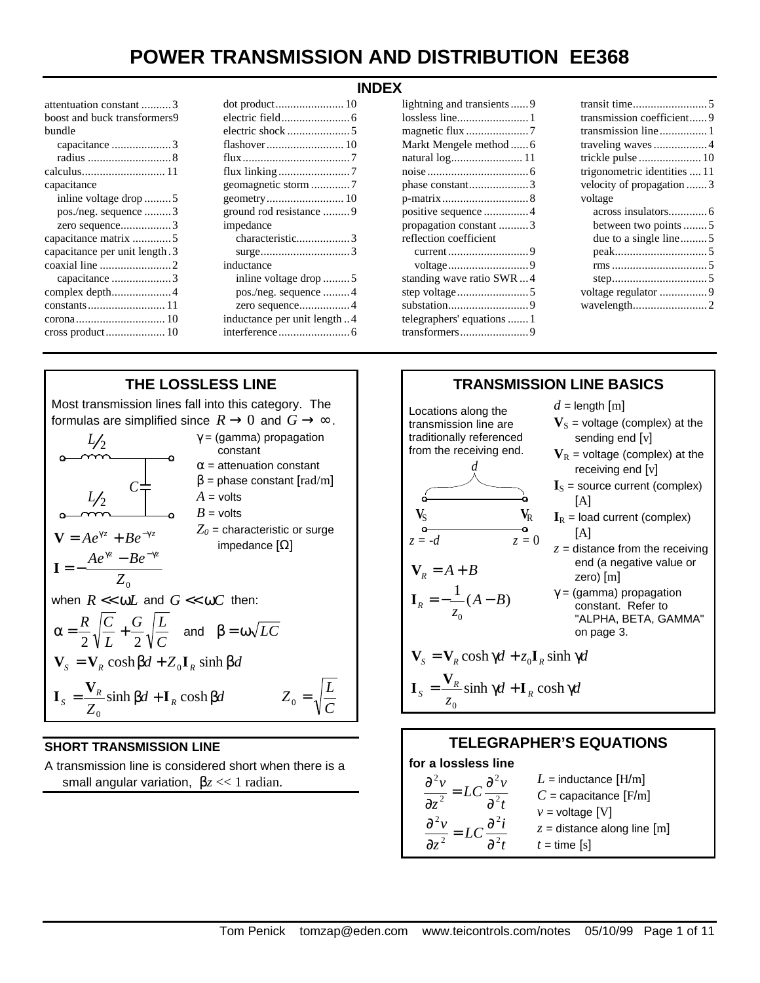| attentuation constant 3        |
|--------------------------------|
| boost and buck transformers9   |
| bundle                         |
| capacitance 3                  |
|                                |
|                                |
| capacitance                    |
| inline voltage drop 5          |
| pos./neg. sequence 3           |
| zero sequence3                 |
|                                |
| capacitance per unit length. 3 |
|                                |
| capacitance 3                  |
|                                |
|                                |
|                                |
|                                |
|                                |

| ground rod resistance 9     |
|-----------------------------|
| impedance                   |
| characteristic3             |
|                             |
| inductance                  |
| inline voltage drop 5       |
| pos./neg. sequence 4        |
| zero sequence4              |
| inductance per unit length4 |
|                             |
|                             |

#### **INDEX**

| lightning and transients  9 |
|-----------------------------|
|                             |
| magnetic flux 7             |
| Markt Mengele method  6     |
| natural log 11              |
|                             |
| phase constant3             |
|                             |
|                             |
| propagation constant 3      |
| reflection coefficient      |
| current 9                   |
|                             |
| standing wave ratio SWR4    |
|                             |
|                             |
| telegraphers' equations  1  |
|                             |
|                             |

| transmission coefficient9    |
|------------------------------|
| transmission line1           |
| traveling waves  4           |
|                              |
| trigonometric identities  11 |
| velocity of propagation 3    |
| voltage                      |
|                              |
| between two points 5         |
| due to a single line5        |
|                              |
|                              |
|                              |
|                              |
|                              |
| wavelength2                  |



### **SHORT TRANSMISSION LINE**

A transmission line is considered short when there is a small angular variation, β*z* << 1 radian.

**for a lossless line**

*z v*

*z v*

∂ ∂

2 2

∂ ∂

2 2

*t*  $LC \frac{\partial^2 v}{\partial x^2}$   $L$  = inductance  $[\mathrm{H/m}]$ *C* = capacitance [F/m]

*z* = distance along line [m]

 $v =$  voltage  $[V]$ 

 $t =$  time  $[s]$ 

*t*  $LC \frac{\partial^2 i}{\partial x^2}$ 

2 2

∂  $= LC \frac{\partial}{\partial x}$ 

2 2

∂  $= LC \frac{\partial}{\partial x}$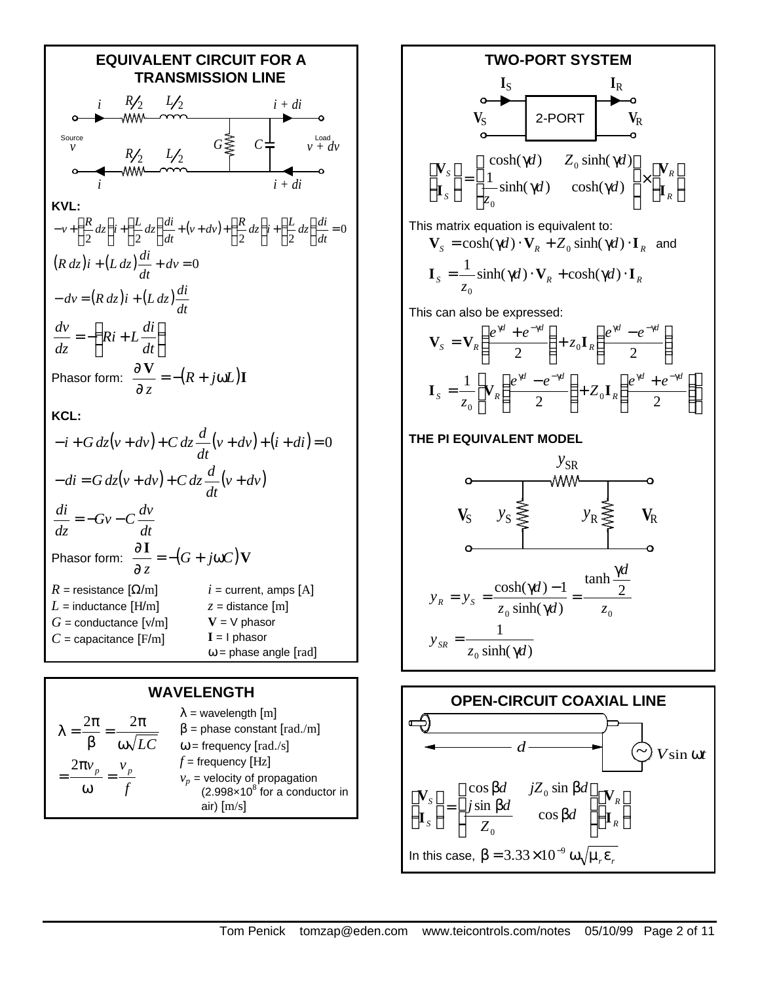

#### **WAVELENGTH**

$$
\lambda = \frac{2\pi}{\beta} = \frac{2\pi}{\omega\sqrt{LC}} \qquad \begin{array}{l} \lambda = \text{wavelength [m]} \\ \beta = \text{phase constant [rad./m]} \\ \omega = \text{frequency [rad./s]} \\ \frac{2\pi v_p}{\omega} = \frac{v_p}{f} \qquad \begin{array}{l} f = \text{frequency [Hz]} \\ v_p = \text{velocity of propagation} \\ (2.998 \times 10^8 \text{ for a conductor in air) [m/s]} \end{array} \end{array}
$$



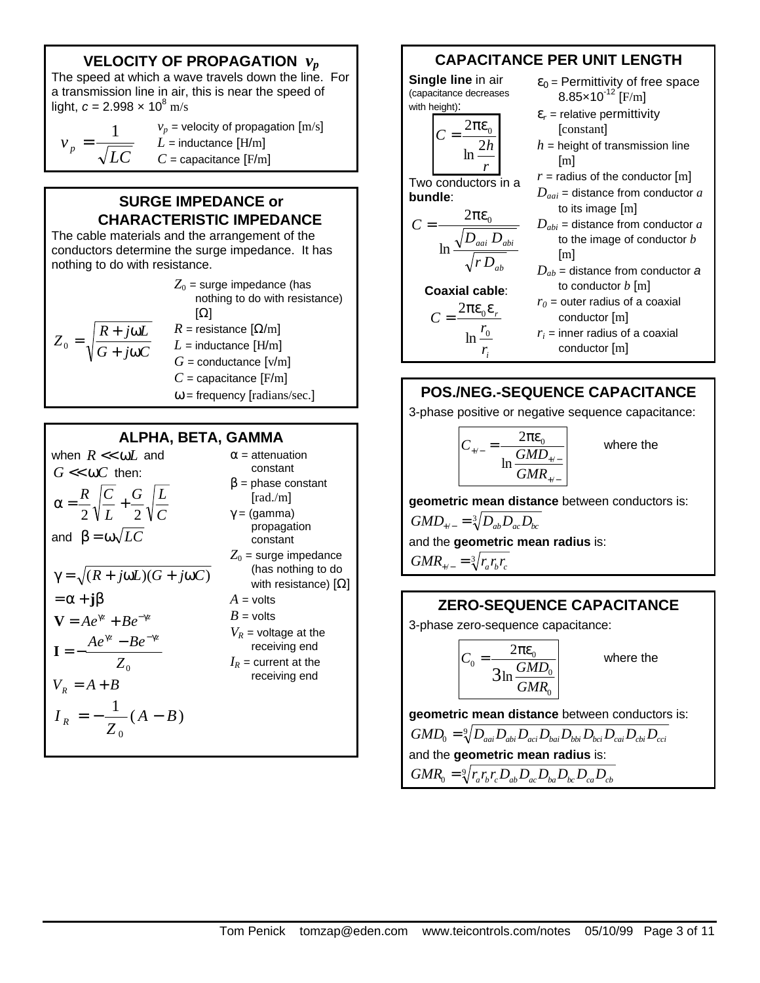# **VELOCITY OF PROPAGATION** *v<sup>p</sup>*

The speed at which a wave travels down the line. For a transmission line in air, this is near the speed of light,  $c = 2.998 \times 10^8$  m/s

$$
v_p = \frac{1}{\sqrt{LC}}
$$
  

$$
v_p = \text{velocity of propagation [m/s]}
$$
  

$$
L = \text{inductance [H/m]}
$$
  

$$
C = \text{capacitance [F/m]}
$$

### **SURGE IMPEDANCE or CHARACTERISTIC IMPEDANCE**

The cable materials and the arrangement of the conductors determine the surge impedance. It has nothing to do with resistance.

*G j C*  $Z_0 = \sqrt{\frac{R + j\omega L}{2}}$  $+ j\omega$  $\frac{1}{\alpha} = \sqrt{\frac{R + j\omega}{G + j\omega}}$  $Z_0$  = surge impedance (has nothing to do with resistance) [Ω]  $R =$  resistance  $\left[\Omega/m\right]$  $L =$  inductance  $[H/m]$  $G =$  conductance  $[v/m]$  $C$  = capacitance  $[F/m]$  $\omega$  = frequency [radians/sec.]

### **ALPHA, BETA, GAMMA**

when 
$$
R \ll \omega L
$$
 and  
\n $G \ll \omega C$  then:  
\n $\alpha = \frac{R}{2} \sqrt{\frac{C}{L}} + \frac{G}{2} \sqrt{\frac{L}{C}}$   
\nand  $\beta = \omega \sqrt{LC}$   
\n $\gamma = \sqrt{(R + j\omega L)(G + j\omega C)}$   
\n $= \alpha + j\beta$   
\n $\mathbf{V} = Ae^{\gamma z} + Be^{-\gamma z}$   
\n $\mathbf{I} = -\frac{Ae^{\gamma z} - Be^{-\gamma z}}{Z_0}$   
\n $V_R = A + B$   
\n $I_R = -\frac{1}{Z_0} (A - B)$ 

 $\alpha$  = attenuation constant  $\beta$  = phase constant [rad./m] γ = (gamma) propagation constant  $Z_0$  = surge impedance (has nothing to do with resistance)  $[Ω]$  $A =$  volts  $B =$  volts  $V_R$  = voltage at the receiving end  $I_R$  = current at the receiving end

# **CAPACITANCE PER UNIT LENGTH**

**Single line** in air (capacitance decreases with height):



Two conductors in a

 $C = \frac{2\pi\epsilon_0}{\sqrt{2\pi\epsilon_0}}$ 

ln

**bundle**:

- $\varepsilon_0$  = Permittivity of free space  $8.85 \times 10^{-12}$  [F/m]
- $\varepsilon_r$  = relative permittivity [constant]
- $h$  = height of transmission line [m]
- $r =$  radius of the conductor  $[m]$
- $D_{\textit{adi}}$  = distance from conductor  $\hat{a}$ to its image [m]
- *Dabi* = distance from conductor *a* to the image of conductor *b* [m]
- *Dab* = distance from conductor *a* to conductor *b* [m]

**Coaxial cable**:  $=\frac{2\pi\epsilon_0\epsilon}{2\pi\epsilon_0}$ 

*i*

0 0

*r*

*ab*

*r*

*aai abi r D*  $D_{\textit{adi}}$   $D$ 

 $C = \frac{2nc_0}{r}$ 

ln

 $r<sub>0</sub>$  = outer radius of a coaxial conductor [m]  $r_i$  = inner radius of a coaxial conductor [m]

# **POS./NEG.-SEQUENCE CAPACITANCE**

3-phase positive or negative sequence capacitance:

$$
C_{\rm{+/-}} = \frac{2\pi\epsilon_0}{\ln \frac{GMD_{\rm{+/-}}}{GMR_{\rm{+/-}}}}
$$

where the

**geometric mean distance** between conductors is:

 $GMD_{+/-} = \sqrt[3]{D_{ab}D_{ac}D_{bc}}$ and the **geometric mean radius** is:  $GMR_{+/-} = \sqrt[3]{r_a r_b r_c}$ 

### **ZERO-SEQUENCE CAPACITANCE**

3-phase zero-sequence capacitance:

$$
C_0 = \frac{2\pi\epsilon_0}{3\ln\frac{GMD_0}{GMR_0}}
$$

where the

**geometric mean distance** between conductors is:

<sup>9</sup> *GMD*<sup>0</sup> = *DaaiDabiDaciDbaiDbbiDbciDcaiDcbiDcci*

and the **geometric mean radius** is:

 $GMR_{0}=\sqrt[9]{r_{a}r_{b}r_{c}}D_{ab}D_{ac}D_{ba}D_{bc}D_{ca}D_{cb}$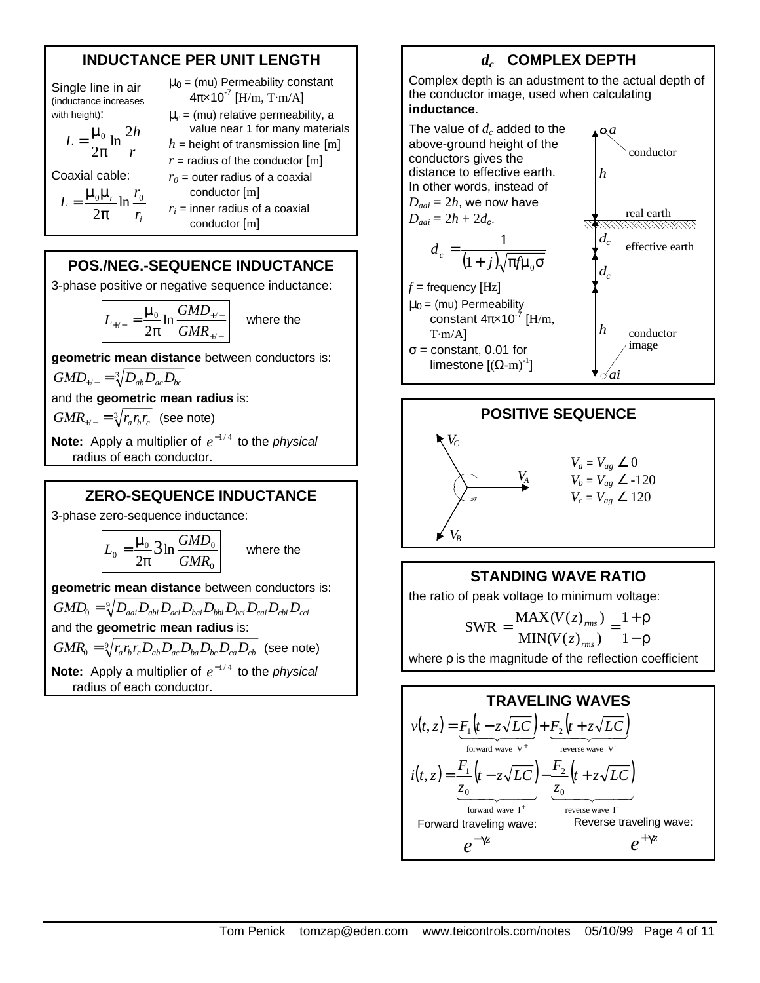### **INDUCTANCE PER UNIT LENGTH**

Single line in air (inductance increases with height):

$$
L = \frac{\mu_0}{2\pi} \ln \frac{2h}{r}
$$

Coaxial cable:

$$
L = \frac{\mu_0 \mu_r}{2\pi} \ln \frac{r_0}{r_i}
$$

 $4\pi \times 10^{-7}$  [H/m, T·m/A] μ*<sup>r</sup>* = (mu) relative permeability, a value near 1 for many materials  $h =$  height of transmission line  $[m]$  $r =$  radius of the conductor  $[m]$  $r<sub>0</sub>$  = outer radius of a coaxial conductor [m]

 $\mu_0$  = (mu) Permeability constant

 $r_i$  = inner radius of a coaxial conductor [m]

### **POS./NEG.-SEQUENCE INDUCTANCE**

3-phase positive or negative sequence inductance:

$$
L_{\scriptscriptstyle{+/-}} = \frac{\mu_{\scriptscriptstyle{0}}}{2\pi} \ln \frac{GMD_{\scriptscriptstyle{+/-}}}{GMR_{\scriptscriptstyle{+/-}}}\n\quad \text{where the}
$$

**geometric mean distance** between conductors is:

$$
GMD_{\scriptscriptstyle +/-} = \sqrt[3]{D_{ab}D_{ac}D_{bc}}
$$

and the **geometric mean radius** is:

 $GMR_{+/-} = \sqrt[3]{r_a r_b r_c}$  (see note)

**Note:** Apply a multiplier of  $e^{-1/4}$  to the *physical* radius of each conductor.

### **ZERO-SEQUENCE INDUCTANCE**

3-phase zero-sequence inductance:

$$
L_0 = \frac{\mu_0}{2\pi} \mathcal{3} \ln \frac{GMD_0}{GMR_0}
$$

where the

**geometric mean distance** between conductors is:

$$
GMD_{0} = \sqrt[9]{D_{aai}D_{abi}D_{aci}D_{bai}D_{bbi}D_{bci}D_{cai}D_{cbi}D_{cci}}
$$

and the **geometric mean radius** is:

 $GMR_0 = \sqrt[9]{r_a r_b r_c D_{ab} D_{ac} D_{ba} D_{bc} D_{ca} D_{cb}}$  (see note)

**Note:** Apply a multiplier of  $e^{-1/4}$  to the *physical* radius of each conductor.

# *dc*  **COMPLEX DEPTH**

Complex depth is an adustment to the actual depth of the conductor image, used when calculating **inductance**.

The value of *dc* added to the above-ground height of the conductors gives the distance to effective earth. In other words, instead of  $D_{\text{ani}} = 2h$ , we now have  $D_{aai} = 2h + 2d_c$ .

$$
d_c = \frac{1}{(1+j)\sqrt{\pi f \mu_0 \sigma}}
$$

 $f$  = frequency [Hz]  $\mu_0$  = (mu) Permeability constant  $4\pi \times 10^{-7}$  [H/m,  $T·m/A$ ]  $\sigma$  = constant, 0.01 for limestone  $[(\Omega - m)^{-1}]$ 



 $a$ 



### **STANDING WAVE RATIO**

the ratio of peak voltage to minimum voltage:

$$
SWR = \frac{MAX(V(z)_{rms})}{MIN(V(z)_{rms})} = \frac{1+\rho}{1-\rho}
$$

where *ρ* is the magnitude of the reflection coefficient

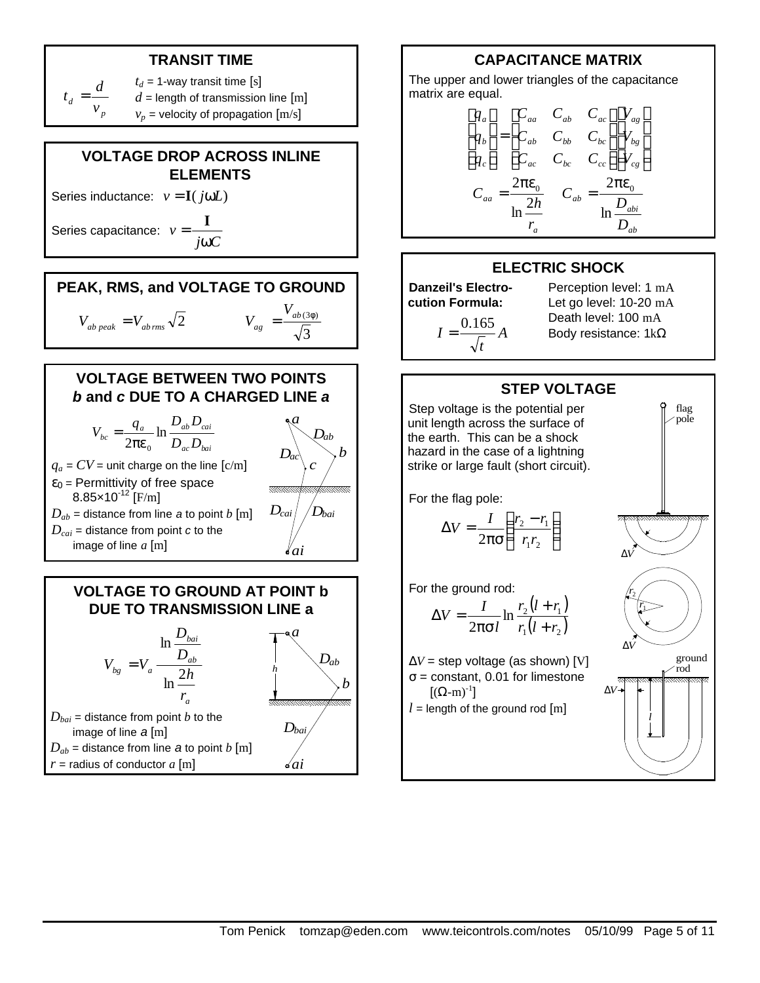## **TRANSIT TIME**



# **VOLTAGE DROP ACROSS INLINE ELEMENTS**

Series inductance:  $v = I(i\omega L)$ 

Series capacitance: *j C v*  $=-\frac{I}{I}$ 



ω



## **VOLTAGE BETWEEN TWO POINTS** *b* **and** *c* **DUE TO A CHARGED LINE** *a*



### **VOLTAGE TO GROUND AT POINT b DUE TO TRANSMISSION LINE a**

*Dab*

*a*

*Dbai*

*ai*

*b*



 $r =$  radius of conductor  $a \text{ [m]}$ 



The upper and lower triangles of the capacitance matrix are equal.

$$
\begin{bmatrix} q_a \\ q_b \\ q_c \end{bmatrix} = \begin{bmatrix} C_{aa} & C_{ab} & C_{ac} \\ C_{ab} & C_{bb} & C_{bc} \\ C_{ac} & C_{bc} & C_{cc} \end{bmatrix} \begin{bmatrix} V_{ag} \\ V_{bg} \\ V_{cg} \end{bmatrix}
$$
\n
$$
C_{aa} = \frac{2\pi\varepsilon_0}{\ln\frac{2h}{r_a}} \qquad C_{ab} = \frac{2\pi\varepsilon_0}{\ln\frac{D_{abi}}{D_{ab}}}
$$

#### **ELECTRIC SHOCK**

**Danzeil's Electrocution Formula:** *A*  $I = \frac{0.165}{\sqrt{10}}$ 

*t*

Perception level: 1 mA Let go level: 10-20 mA Death level: 100 mA Body resistance: 1kΩ

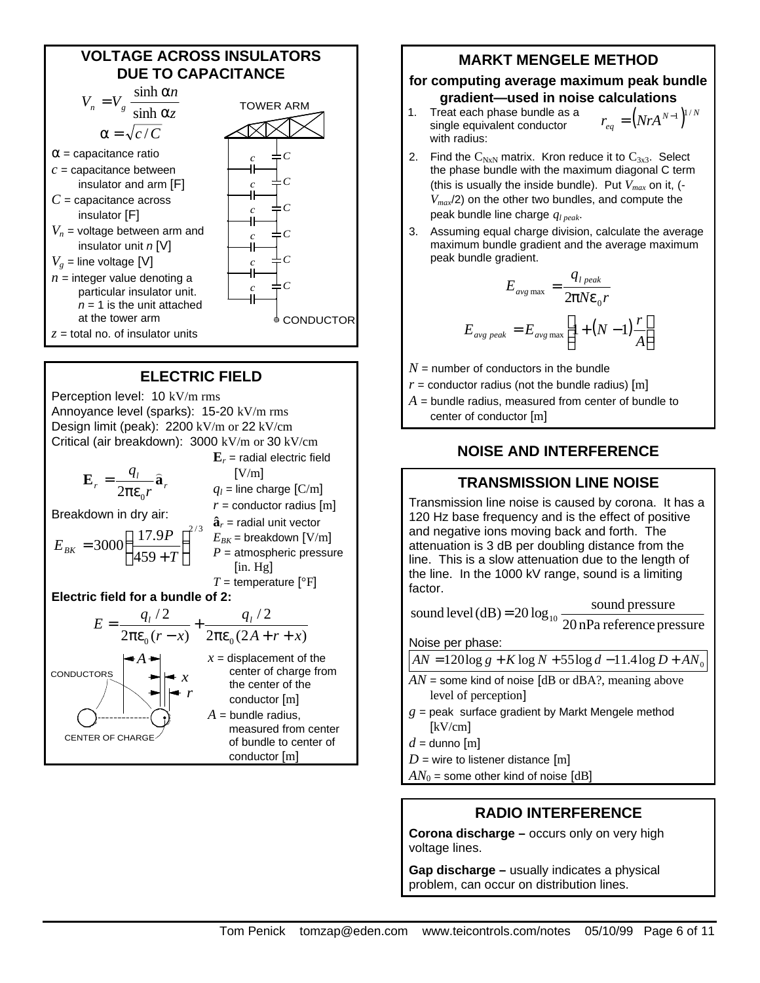

### **ELECTRIC FIELD**

Perception level: 10 kV/m rms Annoyance level (sparks): 15-20 kV/m rms Design limit (peak): 2200 kV/m or 22 kV/cm Critical (air breakdown): 3000 kV/m or 30 kV/cm

 $r = \frac{q_l}{2\pi\varepsilon_0 r} \hat{\mathbf{a}}_r$  $E_r = \frac{q_l}{q}$  $2πε_0$ = Breakdown in dry air: 2 / 3 459  $3000 \left( \frac{17.9P}{150 \times T} \right)$  $\overline{1}$  $\left(\frac{17.9P}{150 \cdot \pi}\right)$ l ſ + = *T*  $E_{BK} = 3000 \left( \frac{17.9P}{450 \times T} \right)^{2/3} E_{BK}$  = breakdown [V/m]  $\mathbf{E}_r$  = radial electric field  $[V/m]$  $q_l$  = line charge  $\text{[C/m]}$  $r =$  conductor radius  $[m]$  $\hat{\mathbf{a}}_r$  = radial unit vector *P* = atmospheric pressure [in. Hg] *T* = temperature  $[°F]$ **Electric field for a bundle of 2:**  $2\pi \epsilon_0 (2A+r+x)$  $/ 2$  $2\pi \varepsilon_0 (r - x)$  $/ 2$  $_0(r-x)$   $2\pi\varepsilon_0 (2A+r+x)$ *q*  $r - x$  $E = \frac{q_l/2}{1-q_l} + \frac{q_l}{1-q_l}$  $\pi \varepsilon_0 (2A+r+$ +  $\pi \varepsilon_0(r-$ = CENTER OF CHARGE **CONDUCTORS** *A x r*  $x =$  displacement of the center of charge from the center of the conductor [m]  $A =$  bundle radius. measured from center of bundle to center of conductor [m]

### **MARKT MENGELE METHOD**

#### **for computing average maximum peak bundle gradient—used in noise calculations**

- 1. Treat each phase bundle as a single equivalent conductor with radius:  $r_{eq} = (N r A^{N-1})^{1/N}$
- 2. Find the  $C_{NxN}$  matrix. Kron reduce it to  $C_{3x3}$ . Select the phase bundle with the maximum diagonal C term (this is usually the inside bundle). Put *Vmax* on it, (- *Vmax*/2) on the other two bundles, and compute the peak bundle line charge *ql peak*.
- 3. Assuming equal charge division, calculate the average maximum bundle gradient and the average maximum peak bundle gradient.

$$
E_{avg \max} = \frac{q_{l \, peak}}{2pNe_0r}
$$

$$
E_{avg \, peak} = E_{avg \max} \left[1 + (N - 1)\frac{r}{A}\right]
$$

 $N =$  number of conductors in the bundle

- $r =$  conductor radius (not the bundle radius)  $[m]$
- $A =$  bundle radius, measured from center of bundle to
	- center of conductor [m]

### **NOISE AND INTERFERENCE**

### **TRANSMISSION LINE NOISE**

Transmission line noise is caused by corona. It has a 120 Hz base frequency and is the effect of positive and negative ions moving back and forth. The attenuation is 3 dB per doubling distance from the line. This is a slow attenuation due to the length of the line. In the 1000 kV range, sound is a limiting factor.

sound level (dB) =  $20 \log_{10} \frac{\text{sound pressure}}{20 \text{ nPa reference pressure}}$ 

Noise per phase:

 $\overline{AN} = 120\log g + K\log N + 55\log d - 11.4\log D + AN_0$ 

- $AN$  = some kind of noise  $[dB$  or  $dBA$ ?, meaning above level of perception]
- $g =$  peak surface gradient by Markt Mengele method [kV/cm]
- $d =$  dunno  $[m]$
- $D =$  wire to listener distance  $[m]$
- $AN<sub>0</sub>$  = some other kind of noise [dB]

### **RADIO INTERFERENCE**

**Corona discharge –** occurs only on very high voltage lines.

**Gap discharge –** usually indicates a physical problem, can occur on distribution lines.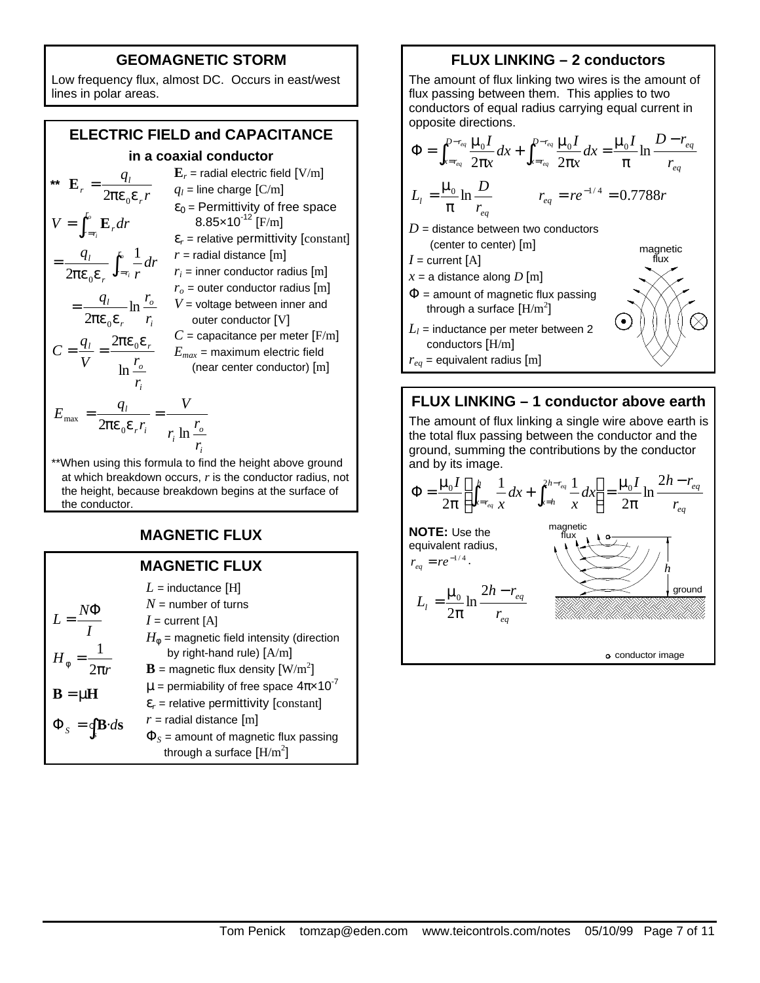### **GEOMAGNETIC STORM**

Low frequency flux, almost DC. Occurs in east/west lines in polar areas.

### **ELECTRIC FIELD and CAPACITANCE**

### **in a coaxial conductor**

**\*\***  *r q r l r pe e*<sup>0</sup> 2 **E** = *i o r l r r r r l r r r r r q r dr r q V dr o i o i* ln 2 1 2 0 0 *pe e pe e* = = = ∫ ∫ = = **E** *i o l r r V r q C* ln 2 <sup>0</sup> *pe e* = = **E***<sup>r</sup>* = radial electric field [V/m] *q<sup>l</sup>* = line charge [C/m] ε<sup>0</sup> = Permittivity of free space 8.85×10-12 [F/m] ε*<sup>r</sup>* = relative permittivity [constant] *r* = radial distance [m] *r<sup>i</sup>* = inner conductor radius [m] *r<sup>o</sup>* = outer conductor radius [m] *V* = voltage between inner and outer conductor [V] *C* = capacitance per meter [F/m] *Emax* = maximum electric field (near center conductor) [m] *i o i r i l r r r V r q E* ln <sup>2</sup> <sup>0</sup> max = = *pe e*

\*\*When using this formula to find the height above ground at which breakdown occurs, *r* is the conductor radius, not the height, because breakdown begins at the surface of the conductor.

### **MAGNETIC FLUX**

|                                                 | <b>MAGNETIC FLUX</b>                                                            |
|-------------------------------------------------|---------------------------------------------------------------------------------|
|                                                 | $L =$ inductance [H]                                                            |
|                                                 | $N =$ number of turns                                                           |
| $L = \frac{N\Phi}{r}$                           | $I =$ current [A]                                                               |
|                                                 | $H_{\phi}$ = magnetic field intensity (direction<br>by right-hand rule) $[A/m]$ |
| $H_{\phi} = \frac{1}{2\pi r}$                   | <b>B</b> = magnetic flux density $\left[\text{W/m}^2\right]$                    |
| $B = \mu H$                                     | $\mu$ = permiability of free space $4\pi \times 10^{-7}$                        |
|                                                 | $\varepsilon_r$ = relative permittivity [constant]                              |
| $\Phi_{s} = \oint \mathbf{B} \cdot d\mathbf{s}$ | $r$ = radial distance [m]                                                       |
|                                                 | $\Phi_s$ = amount of magnetic flux passing<br>through a surface $[H/m^2]$       |

### **FLUX LINKING – 2 conductors**

The amount of flux linking two wires is the amount of flux passing between them. This applies to two conductors of equal radius carrying equal current in opposite directions.

$$
\Phi = \int_{x=r_{eq}}^{D-r_{eq}} \frac{\mu_0 I}{2\pi x} dx + \int_{x=r_{eq}}^{D-r_{eq}} \frac{\mu_0 I}{2\pi x} dx = \frac{\mu_0 I}{\pi} \ln \frac{D-r_{eq}}{r_{eq}}
$$
\n
$$
L_l = \frac{\mu_0}{\pi} \ln \frac{D}{r_{eq}} \qquad \qquad r_{eq} = re^{-1/4} = 0.7788r
$$
\n
$$
D = \text{distance between two conductors}
$$
\n(center to center) [m] \qquad \qquad \text{magnetic}\n
$$
I = \text{current [A]}
$$
\n
$$
x = \text{a distance along } D [m]
$$

- $\Phi$  = amount of magnetic flux passing through a surface  $\rm [H/m^2]$
- $L_l$  = inductance per meter between 2 conductors [H/m]

 $r_{eq}$  = equivalent radius [m]

### **FLUX LINKING – 1 conductor above earth**

The amount of flux linking a single wire above earth is the total flux passing between the conductor and the ground, summing the contributions by the conductor and by its image.

$$
\Phi = \frac{\mu_0 I}{2\pi} \left[ \int_{x=r_{eq}}^h \frac{1}{x} dx + \int_{x=h}^{2h-r_{eq}} \frac{1}{x} dx \right] = \frac{\mu_0 I}{2\pi} \ln \frac{2h-r_{eq}}{r_{eq}}
$$
\n**NOTE:** Use the equivalent radius,  
\n
$$
r_{eq} = re^{-1/4}.
$$
\n
$$
L_1 = \frac{\mu_0}{2\pi} \ln \frac{2h-r_{eq}}{r_{eq}}
$$
\n
$$
= \frac{2h-r_{eq}}{r_{eq}}
$$
\n
$$
= \frac{2h-r_{eq}}{r_{eq}}
$$
\n
$$
= \frac{2h-r_{eq}}{r_{eq}}
$$
\n
$$
= \frac{2h-r_{eq}}{r_{eq}}
$$
\n
$$
= \frac{2h-r_{eq}}{r_{eq}}
$$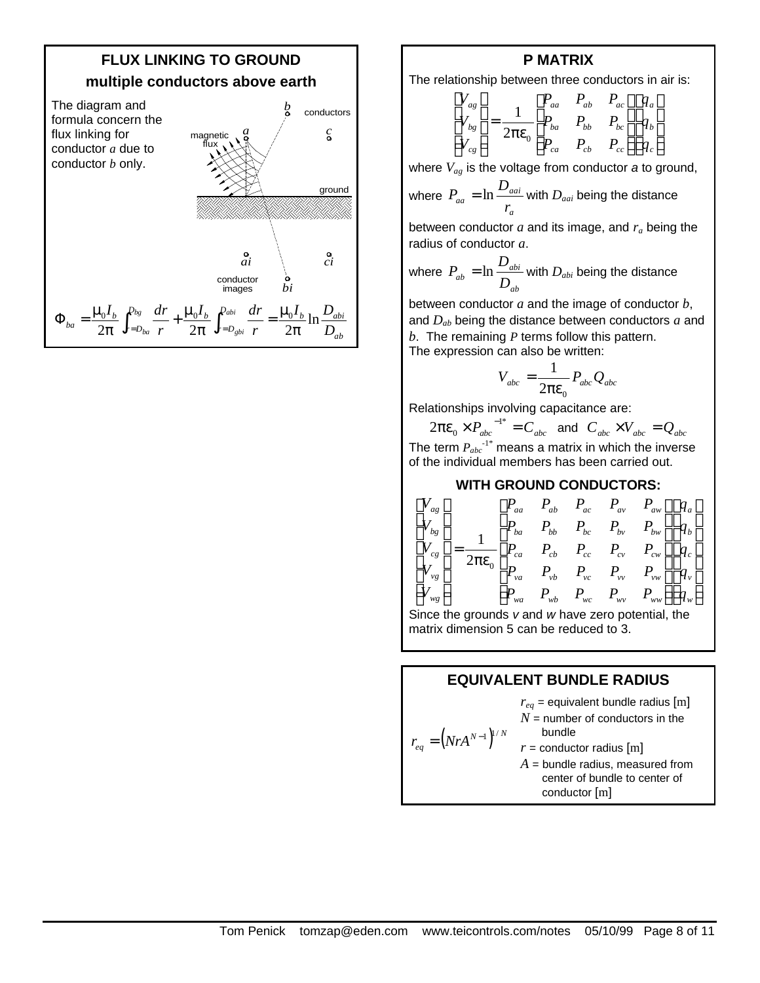

#### **P MATRIX**

The relationship between three conductors in air is:

$$
\begin{bmatrix} V_{ag} \\ V_{bg} \\ V_{cg} \end{bmatrix} = \frac{1}{2\pi\epsilon_0} \begin{bmatrix} P_{aa} & P_{ab} & P_{ac} \\ P_{ba} & P_{bb} & P_{bc} \\ P_{ca} & P_{cb} & P_{cc} \end{bmatrix} \begin{bmatrix} q_a \\ q_b \\ q_c \end{bmatrix}
$$

where *Vag* is the voltage from conductor *a* to ground,

where 
$$
P_{aa} = \ln \frac{D_{aai}}{r_a}
$$
 with  $D_{aai}$  being the distance

between conductor *a* and its image, and *ra* being the radius of conductor *a*.

where 
$$
P_{ab} = \ln \frac{D_{abi}}{D_{ab}}
$$
 with  $D_{abi}$  being the distance

between conductor *a* and the image of conductor *b*, and *Dab* being the distance between conductors *a* and *b*. The remaining *P* terms follow this pattern. The expression can also be written:

$$
V_{abc} = \frac{1}{2\pi\epsilon_0} P_{abc} Q_{abc}
$$

Relationships involving capacitance are:

 $2\pi\varepsilon_0 \times P_{abc}^{\quad -1^*} = C_{abc}^{\quad}$  and  $C_{abc}^{\quad} \times V_{abc}^{\quad} = Q_{abc}^{\quad}$ The term  $P_{abc}$ <sup>-1\*</sup> means a matrix in which the inverse of the individual members has been carried out.

### **WITH GROUND CONDUCTORS:**



Since the grounds *v* and *w* have zero potential, the matrix dimension 5 can be reduced to 3.

### **EQUIVALENT BUNDLE RADIUS**

 $r_{eq} = (N r A^{N-1})^{1/N}$  $r_{eq}$  = equivalent bundle radius [m]  $N =$  number of conductors in the bundle  $r =$  conductor radius  $[m]$  $A =$  bundle radius, measured from center of bundle to center of conductor [m]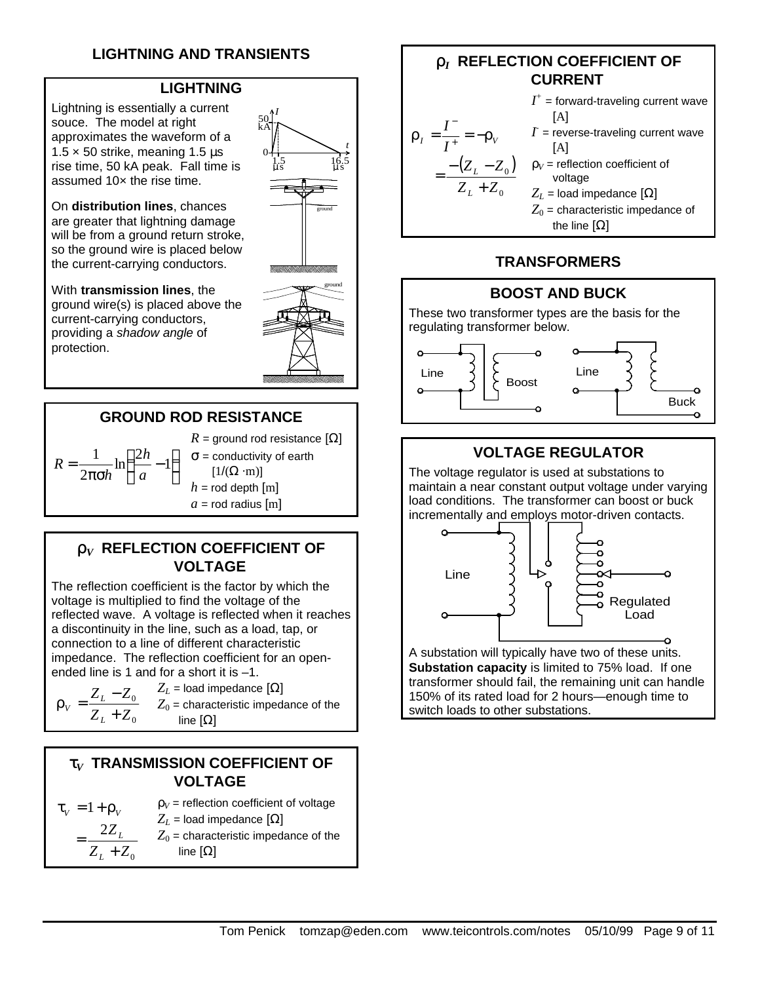# **LIGHTNING AND TRANSIENTS**

### **LIGHTNING**

Lightning is essentially a current souce. The model at right approximates the waveform of a  $1.5 \times 50$  strike, meaning 1.5  $\mu$ s rise time, 50 kA peak. Fall time is assumed 10x the rise time.

On **distribution lines**, chances are greater that lightning damage will be from a ground return stroke, so the ground wire is placed below the current-carrying conductors.

With **transmission lines**, the ground wire(s) is placed above the current-carrying conductors, providing a *shadow angle* of protection.





### **GROUND ROD RESISTANCE**

 $\overline{1}$  $\left(\frac{2h}{2}-1\right)$ l  $\frac{2h}{ }$  – πσ  $=\frac{1}{2}$  ln $\left(\frac{2h}{2}-1\right)$ 2 1 *a h h*  $R = \frac{1}{2} \ln \left( \frac{2h}{m-1} \right)$   $\sigma$  = conductivity of earth  $R =$  ground rod resistance  $\Omega$  $[1/(\Omega \cdot m)]$  $h =$  rod depth  $[m]$ 

 $a =$  rod radius  $[m]$ 

### **r***V* **REFLECTION COEFFICIENT OF VOLTAGE**

The reflection coefficient is the factor by which the voltage is multiplied to find the voltage of the reflected wave. A voltage is reflected when it reaches a discontinuity in the line, such as a load, tap, or connection to a line of different characteristic impedance. The reflection coefficient for an openended line is 1 and for a short it is –1.

$$
\mathbf{r}_v = \frac{Z_L - Z_0}{Z_L + Z_0}
$$

 $Z_L$  = load impedance  $[\Omega]$  $Z_0$  = characteristic impedance of the line [Ω]

### **t***V* **TRANSMISSION COEFFICIENT OF VOLTAGE**

$$
\tau_{V} = 1 + \rho_{V}
$$
\n
$$
= \frac{2Z_{L}}{Z_{L} + Z_{0}}
$$
\n
$$
= \frac{1}{Z_{L} + Z_{0}}
$$
\n
$$
= \frac{1}{Z_{L} + Z_{0}}
$$
\n
$$
= \frac{1}{Z_{L} + Z_{0}}
$$
\n
$$
= \text{linear} \text{t} \text{erivative } \text{impedance of the}
$$
\n
$$
\text{line } [\Omega]
$$

### **r***I*  **REFLECTION COEFFICIENT OF CURRENT**



### **TRANSFORMERS**

### **BOOST AND BUCK**

These two transformer types are the basis for the regulating transformer below.



### **VOLTAGE REGULATOR**

The voltage regulator is used at substations to maintain a near constant output voltage under varying load conditions. The transformer can boost or buck incrementally and employs motor-driven contacts.



A substation will typically have two of these units. **Substation capacity** is limited to 75% load. If one transformer should fail, the remaining unit can handle 150% of its rated load for 2 hours—enough time to switch loads to other substations.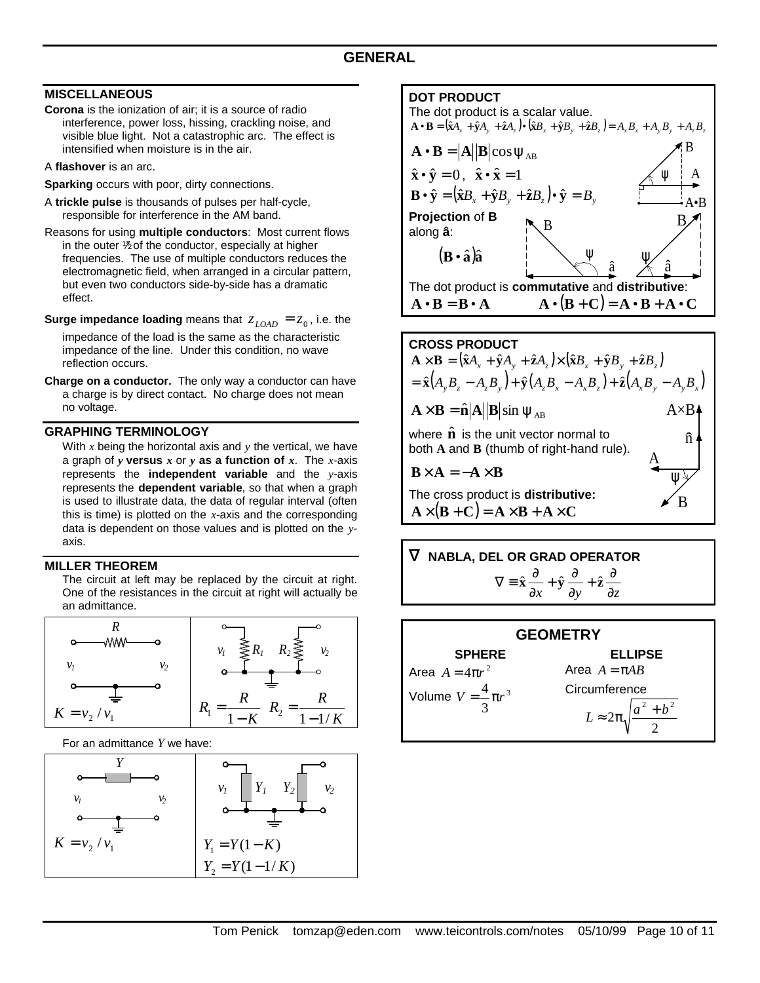#### **MISCELLANEOUS**

- **Corona** is the ionization of air; it is a source of radio interference, power loss, hissing, crackling noise, and visible blue light. Not a catastrophic arc. The effect is intensified when moisture is in the air.
- A **flashover** is an arc.
- **Sparking** occurs with poor, dirty connections.
- A **trickle pulse** is thousands of pulses per half-cycle, responsible for interference in the AM band.
- Reasons for using **multiple conductors**: Most current flows in the outer  $\frac{1}{2}$  of the conductor, especially at higher frequencies. The use of multiple conductors reduces the electromagnetic field, when arranged in a circular pattern, but even two conductors side-by-side has a dramatic effect.
- **Surge impedance loading** means that  $z_{\text{LOAD}} = z_0$ , i.e. the

impedance of the load is the same as the characteristic impedance of the line. Under this condition, no wave reflection occurs.

**Charge on a conductor.** The only way a conductor can have a charge is by direct contact. No charge does not mean no voltage.

#### **GRAPHING TERMINOLOGY**

With *x* being the horizontal axis and *y* the vertical, we have a graph of *y* **versus** *x* or *y* **as a function of** *x*. The *x*-axis represents the **independent variable** and the *y*-axis represents the **dependent variable**, so that when a graph is used to illustrate data, the data of regular interval (often this is time) is plotted on the *x*-axis and the corresponding data is dependent on those values and is plotted on the *y*axis.

#### **MILLER THEOREM**

The circuit at left may be replaced by the circuit at right. One of the resistances in the circuit at right will actually be an admittance.



For an admittance *Y* we have:



#### **DOT PRODUCT**